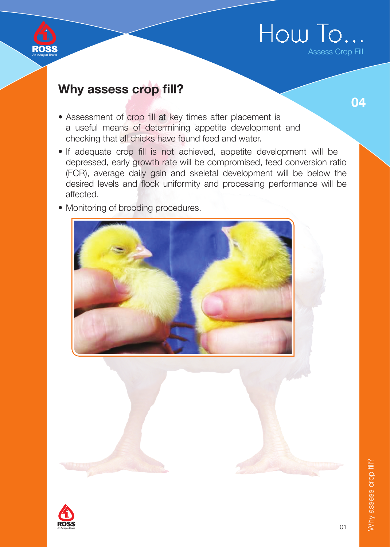

04

An Aviagen Brand

**ROSS** 

- Assessment of crop fill at key times after placement is a useful means of determining appetite development and checking that all chicks have found feed and water.
- If adequate crop fill is not achieved, appetite development will be depressed, early growth rate will be compromised, feed conversion ratio (FCR), average daily gain and skeletal development will be below the desired levels and flock uniformity and processing performance will be affected.
- Monitoring of brooding procedures.



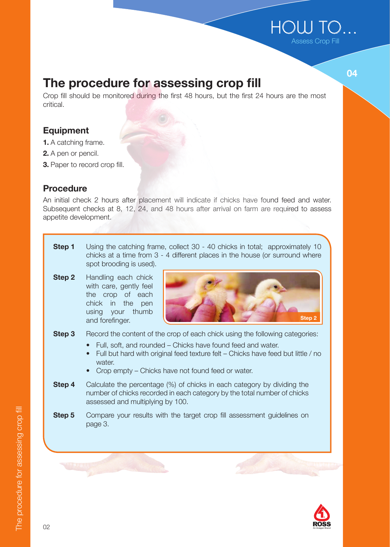## HOUJ TO. Assess Crop Fill

The procedure for assessing crop fill

Crop fill should be monitored during the first 48 hours, but the first 24 hours are the most critical.

### Equipment

- 1. A catching frame.
- 2. A pen or pencil.
- 3. Paper to record crop fill.

### **Procedure**

An initial check 2 hours after placement will indicate if chicks have found feed and water. Subsequent checks at 8, 12, 24, and 48 hours after arrival on farm are required to assess appetite development.

- **Step 1** Using the catching frame, collect 30 40 chicks in total; approximately 10 chicks at a time from 3 - 4 different places in the house (or surround where spot brooding is used).
- Step 2 Handling each chick with care, gently feel the crop of each chick in the pen using your thumb and forefinger.



- **Step 3** Record the content of the crop of each chick using the following categories:
	- Full, soft, and rounded Chicks have found feed and water.
	- Full but hard with original feed texture felt Chicks have feed but little / no water.
	- Crop empty Chicks have not found feed or water.
- **Step 4** Calculate the percentage (%) of chicks in each category by dividing the number of chicks recorded in each category by the total number of chicks assessed and multiplying by 100.
- **Step 5** Compare your results with the target crop fill assessment guidelines on page 3.



04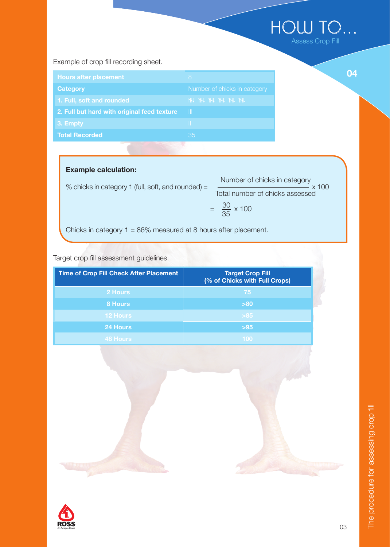## HOW TO... Assess Crop Fill

04

Example of crop fill recording sheet.

| <b>Hours after placement</b>                | 8                            |  |
|---------------------------------------------|------------------------------|--|
| Category                                    | Number of chicks in category |  |
| 1. Full, soft and rounded                   | <b>NH NH NH NH NH</b>        |  |
| 2. Full but hard with original feed texture | Ш                            |  |
| 3. Empty                                    | Ш                            |  |
| <b>Total Recorded</b>                       | 35                           |  |
|                                             |                              |  |

## Example calculation:

| % chicks in category 1 (full, soft, and rounded) $=$               | Number of chicks in category    |
|--------------------------------------------------------------------|---------------------------------|
|                                                                    | Total number of chicks assessed |
|                                                                    | $=\frac{30}{35} \times 100$     |
| Chicks in category $1 = 86\%$ measured at 8 hours after placement. |                                 |

Target crop fill assessment guidelines.

| <b>Time of Crop Fill Check After Placement</b> | <b>Target Crop Fill</b><br>(% of Chicks with Full Crops) |
|------------------------------------------------|----------------------------------------------------------|
| 2 Hours                                        | 75                                                       |
| 8 Hours                                        | >80                                                      |
| <b>12 Hours</b>                                | $>85$                                                    |
| 24 Hours                                       | $>95$                                                    |
| <b>48 Hours</b>                                | 100                                                      |